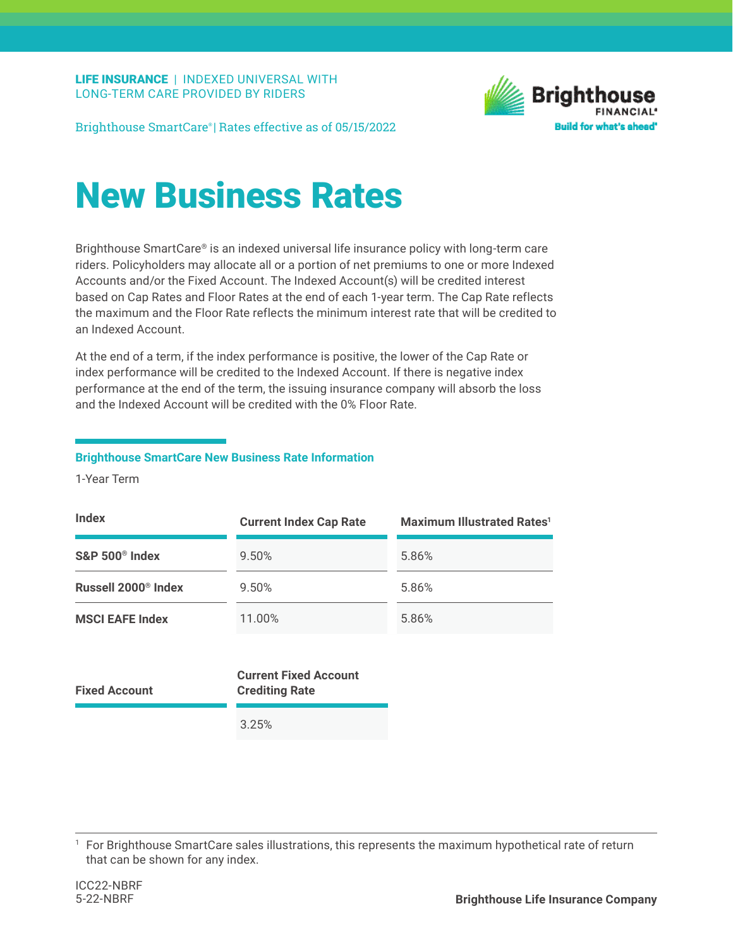

Brighthouse SmartCare® | Rates effective as of 05/15/2022

## New Business Rates

Brighthouse SmartCare® is an indexed universal life insurance policy with long-term care riders. Policyholders may allocate all or a portion of net premiums to one or more Indexed Accounts and/or the Fixed Account. The Indexed Account(s) will be credited interest based on Cap Rates and Floor Rates at the end of each 1-year term. The Cap Rate reflects the maximum and the Floor Rate reflects the minimum interest rate that will be credited to an Indexed Account.

At the end of a term, if the index performance is positive, the lower of the Cap Rate or index performance will be credited to the Indexed Account. If there is negative index performance at the end of the term, the issuing insurance company will absorb the loss and the Indexed Account will be credited with the 0% Floor Rate.

## **Brighthouse SmartCare New Business Rate Information**

1-Year Term

| <b>Index</b>                    | <b>Current Index Cap Rate</b> | <b>Maximum Illustrated Rates<sup>1</sup></b> |
|---------------------------------|-------------------------------|----------------------------------------------|
| $S\&P 500^{\circ}$ Index        | 9.50%                         | 5.86%                                        |
| Russell 2000 <sup>®</sup> Index | 9.50%                         | 5.86%                                        |
| <b>MSCI EAFE Index</b>          | 11.00%                        | 5.86%                                        |

| <b>Fixed Account</b> | <b>Current Fixed Account</b><br><b>Crediting Rate</b> |  |
|----------------------|-------------------------------------------------------|--|
|                      | 3.25%                                                 |  |

<sup>1</sup> For Brighthouse SmartCare sales illustrations, this represents the maximum hypothetical rate of return that can be shown for any index.